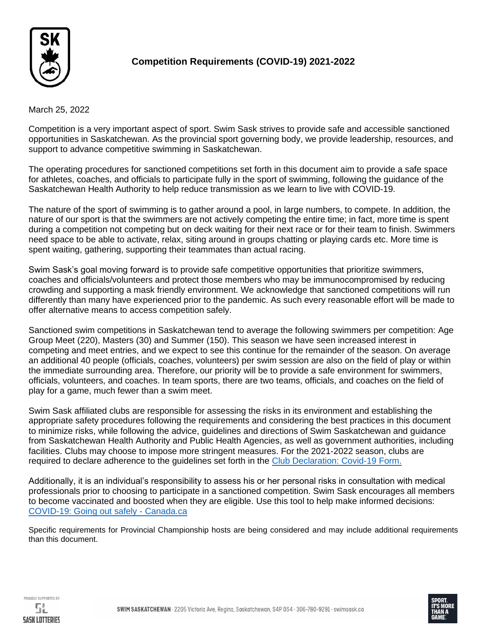

# **Competition Requirements (COVID-19) 2021-2022**

March 25, 2022

Competition is a very important aspect of sport. Swim Sask strives to provide safe and accessible sanctioned opportunities in Saskatchewan. As the provincial sport governing body, we provide leadership, resources, and support to advance competitive swimming in Saskatchewan.

The operating procedures for sanctioned competitions set forth in this document aim to provide a safe space for athletes, coaches, and officials to participate fully in the sport of swimming, following the guidance of the Saskatchewan Health Authority to help reduce transmission as we learn to live with COVID-19.

The nature of the sport of swimming is to gather around a pool, in large numbers, to compete. In addition, the nature of our sport is that the swimmers are not actively competing the entire time; in fact, more time is spent during a competition not competing but on deck waiting for their next race or for their team to finish. Swimmers need space to be able to activate, relax, siting around in groups chatting or playing cards etc. More time is spent waiting, gathering, supporting their teammates than actual racing.

Swim Sask's goal moving forward is to provide safe competitive opportunities that prioritize swimmers, coaches and officials/volunteers and protect those members who may be immunocompromised by reducing crowding and supporting a mask friendly environment. We acknowledge that sanctioned competitions will run differently than many have experienced prior to the pandemic. As such every reasonable effort will be made to offer alternative means to access competition safely.

Sanctioned swim competitions in Saskatchewan tend to average the following swimmers per competition: Age Group Meet (220), Masters (30) and Summer (150). This season we have seen increased interest in competing and meet entries, and we expect to see this continue for the remainder of the season. On average an additional 40 people (officials, coaches, volunteers) per swim session are also on the field of play or within the immediate surrounding area. Therefore, our priority will be to provide a safe environment for swimmers, officials, volunteers, and coaches. In team sports, there are two teams, officials, and coaches on the field of play for a game, much fewer than a swim meet.

Swim Sask affiliated clubs are responsible for assessing the risks in its environment and establishing the appropriate safety procedures following the requirements and considering the best practices in this document to minimize risks, while following the advice, guidelines and directions of Swim Saskatchewan and guidance from Saskatchewan Health Authority and Public Health Agencies, as well as government authorities, including facilities. Clubs may choose to impose more stringent measures. For the 2021-2022 season, clubs are required to declare adherence to the guidelines set forth in the [Club Declaration: Covid-19 Form.](http://www.swimsask.ca/about-us/pdf/Club-Declaration-Covid-19.pdf) 

Additionally, it is an individual's responsibility to assess his or her personal risks in consultation with medical professionals prior to choosing to participate in a sanctioned competition. Swim Sask encourages all members to become vaccinated and boosted when they are eligible. Use this tool to help make informed decisions: [COVID-19: Going out safely -](https://www.canada.ca/en/public-health/services/publications/diseases-conditions/covid-19-going-out-safely.html) Canada.ca

Specific requirements for Provincial Championship hosts are being considered and may include additional requirements than this document.



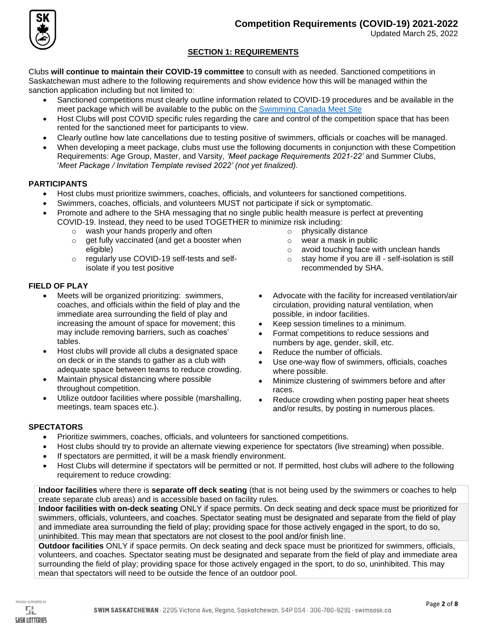

Updated March 25, 2022

### **SECTION 1: REQUIREMENTS**

Clubs **will continue to maintain their COVID-19 committee** to consult with as needed. Sanctioned competitions in Saskatchewan must adhere to the following requirements and show evidence how this will be managed within the sanction application including but not limited to:

- Sanctioned competitions must clearly outline information related to COVID-19 procedures and be available in the meet package which will be available to the public on the [Swimming Canada Meet Site](https://www.swimming.ca/en/events-results/live-upcoming-meets/)
- Host Clubs will post COVID specific rules regarding the care and control of the competition space that has been rented for the sanctioned meet for participants to view.
- Clearly outline how late cancellations due to testing positive of swimmers, officials or coaches will be managed.
- When developing a meet package, clubs must use the following documents in conjunction with these Competition Requirements: Age Group, Master, and Varsity, *'Meet package Requirements 2021-22'* and Summer Clubs, '*Meet Package / Invitation Template revised 2022' (not yet finalized).*

### **PARTICIPANTS**

- Host clubs must prioritize swimmers, coaches, officials, and volunteers for sanctioned competitions.
- Swimmers, coaches, officials, and volunteers MUST not participate if sick or symptomatic.
- Promote and adhere to the SHA messaging that no single public health measure is perfect at preventing COVID-19. Instead, they need to be used TOGETHER to minimize risk including:
	- o wash your hands properly and often
	- o get fully vaccinated (and get a booster when eligible)
	- o regularly use COVID-19 self-tests and selfisolate if you test positive

### **FIELD OF PLAY**

- Meets will be organized prioritizing: swimmers, coaches, and officials within the field of play and the immediate area surrounding the field of play and increasing the amount of space for movement; this may include removing barriers, such as coaches' tables.
- Host clubs will provide all clubs a designated space on deck or in the stands to gather as a club with adequate space between teams to reduce crowding.
- Maintain physical distancing where possible throughout competition.
- Utilize outdoor facilities where possible (marshalling, meetings, team spaces etc.).

o wear a mask in public

o physically distance

- o avoid touching face with unclean hands
- o stay home if you are ill self-isolation is still recommended by SHA.
- Advocate with the facility for increased ventilation/air circulation, providing natural ventilation, when possible, in indoor facilities.
- Keep session timelines to a minimum.
- Format competitions to reduce sessions and numbers by age, gender, skill, etc.
- Reduce the number of officials.
- Use one-way flow of swimmers, officials, coaches where possible.
- Minimize clustering of swimmers before and after races.
- Reduce crowding when posting paper heat sheets and/or results, by posting in numerous places.

## **SPECTATORS**

- Prioritize swimmers, coaches, officials, and volunteers for sanctioned competitions.
- Host clubs should try to provide an alternate viewing experience for spectators (live streaming) when possible.
- If spectators are permitted, it will be a mask friendly environment.
- Host Clubs will determine if spectators will be permitted or not. If permitted, host clubs will adhere to the following requirement to reduce crowding:

**Indoor facilities** where there is **separate off deck seating** (that is not being used by the swimmers or coaches to help create separate club areas) and is accessible based on facility rules.

**Indoor facilities with on-deck seating** ONLY if space permits. On deck seating and deck space must be prioritized for swimmers, officials, volunteers, and coaches. Spectator seating must be designated and separate from the field of play and immediate area surrounding the field of play; providing space for those actively engaged in the sport, to do so, uninhibited. This may mean that spectators are not closest to the pool and/or finish line.

**Outdoor facilities** ONLY if space permits. On deck seating and deck space must be prioritized for swimmers, officials, volunteers, and coaches. Spectator seating must be designated and separate from the field of play and immediate area surrounding the field of play; providing space for those actively engaged in the sport, to do so, uninhibited. This may mean that spectators will need to be outside the fence of an outdoor pool.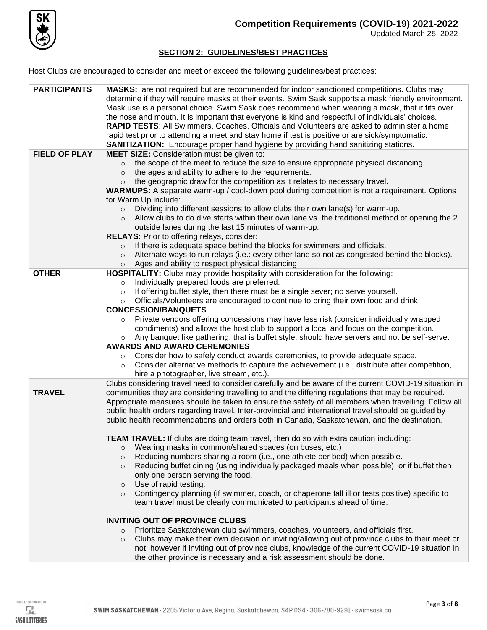

### **SECTION 2: GUIDELINES/BEST PRACTICES**

Host Clubs are encouraged to consider and meet or exceed the following guidelines/best practices:

| <b>PARTICIPANTS</b>  | <b>MASKS:</b> are not required but are recommended for indoor sanctioned competitions. Clubs may<br>determine if they will require masks at their events. Swim Sask supports a mask friendly environment.<br>Mask use is a personal choice. Swim Sask does recommend when wearing a mask, that it fits over<br>the nose and mouth. It is important that everyone is kind and respectful of individuals' choices.<br>RAPID TESTS: All Swimmers, Coaches, Officials and Volunteers are asked to administer a home<br>rapid test prior to attending a meet and stay home if test is positive or are sick/symptomatic.<br><b>SANITIZATION:</b> Encourage proper hand hygiene by providing hand sanitizing stations. |
|----------------------|-----------------------------------------------------------------------------------------------------------------------------------------------------------------------------------------------------------------------------------------------------------------------------------------------------------------------------------------------------------------------------------------------------------------------------------------------------------------------------------------------------------------------------------------------------------------------------------------------------------------------------------------------------------------------------------------------------------------|
| <b>FIELD OF PLAY</b> | <b>MEET SIZE:</b> Consideration must be given to:                                                                                                                                                                                                                                                                                                                                                                                                                                                                                                                                                                                                                                                               |
|                      | the scope of the meet to reduce the size to ensure appropriate physical distancing                                                                                                                                                                                                                                                                                                                                                                                                                                                                                                                                                                                                                              |
|                      | the ages and ability to adhere to the requirements.<br>$\circ$                                                                                                                                                                                                                                                                                                                                                                                                                                                                                                                                                                                                                                                  |
|                      | the geographic draw for the competition as it relates to necessary travel.<br>$\circ$                                                                                                                                                                                                                                                                                                                                                                                                                                                                                                                                                                                                                           |
|                      | <b>WARMUPS:</b> A separate warm-up / cool-down pool during competition is not a requirement. Options                                                                                                                                                                                                                                                                                                                                                                                                                                                                                                                                                                                                            |
|                      | for Warm Up include:                                                                                                                                                                                                                                                                                                                                                                                                                                                                                                                                                                                                                                                                                            |
|                      | Dividing into different sessions to allow clubs their own lane(s) for warm-up.<br>$\circ$<br>Allow clubs to do dive starts within their own lane vs. the traditional method of opening the 2                                                                                                                                                                                                                                                                                                                                                                                                                                                                                                                    |
|                      | $\circ$<br>outside lanes during the last 15 minutes of warm-up.                                                                                                                                                                                                                                                                                                                                                                                                                                                                                                                                                                                                                                                 |
|                      | RELAYS: Prior to offering relays, consider:                                                                                                                                                                                                                                                                                                                                                                                                                                                                                                                                                                                                                                                                     |
|                      | If there is adequate space behind the blocks for swimmers and officials.<br>$\circ$                                                                                                                                                                                                                                                                                                                                                                                                                                                                                                                                                                                                                             |
|                      | Alternate ways to run relays (i.e.: every other lane so not as congested behind the blocks).<br>$\circ$                                                                                                                                                                                                                                                                                                                                                                                                                                                                                                                                                                                                         |
|                      | Ages and ability to respect physical distancing.<br>$\circ$                                                                                                                                                                                                                                                                                                                                                                                                                                                                                                                                                                                                                                                     |
| <b>OTHER</b>         | HOSPITALITY: Clubs may provide hospitality with consideration for the following:                                                                                                                                                                                                                                                                                                                                                                                                                                                                                                                                                                                                                                |
|                      | Individually prepared foods are preferred.<br>$\circ$                                                                                                                                                                                                                                                                                                                                                                                                                                                                                                                                                                                                                                                           |
|                      | If offering buffet style, then there must be a single sever; no serve yourself.<br>$\circ$                                                                                                                                                                                                                                                                                                                                                                                                                                                                                                                                                                                                                      |
|                      | Officials/Volunteers are encouraged to continue to bring their own food and drink.<br>$\circ$<br><b>CONCESSION/BANQUETS</b>                                                                                                                                                                                                                                                                                                                                                                                                                                                                                                                                                                                     |
|                      | Private vendors offering concessions may have less risk (consider individually wrapped                                                                                                                                                                                                                                                                                                                                                                                                                                                                                                                                                                                                                          |
|                      | condiments) and allows the host club to support a local and focus on the competition.                                                                                                                                                                                                                                                                                                                                                                                                                                                                                                                                                                                                                           |
|                      | Any banquet like gathering, that is buffet style, should have servers and not be self-serve.<br>$\circ$                                                                                                                                                                                                                                                                                                                                                                                                                                                                                                                                                                                                         |
|                      | <b>AWARDS AND AWARD CEREMONIES</b>                                                                                                                                                                                                                                                                                                                                                                                                                                                                                                                                                                                                                                                                              |
|                      | Consider how to safely conduct awards ceremonies, to provide adequate space.<br>$\circ$                                                                                                                                                                                                                                                                                                                                                                                                                                                                                                                                                                                                                         |
|                      | Consider alternative methods to capture the achievement (i.e., distribute after competition,<br>$\circ$                                                                                                                                                                                                                                                                                                                                                                                                                                                                                                                                                                                                         |
|                      | hire a photographer, live stream, etc.).                                                                                                                                                                                                                                                                                                                                                                                                                                                                                                                                                                                                                                                                        |
|                      | Clubs considering travel need to consider carefully and be aware of the current COVID-19 situation in                                                                                                                                                                                                                                                                                                                                                                                                                                                                                                                                                                                                           |
| <b>TRAVEL</b>        | communities they are considering travelling to and the differing regulations that may be required.                                                                                                                                                                                                                                                                                                                                                                                                                                                                                                                                                                                                              |
|                      | Appropriate measures should be taken to ensure the safety of all members when travelling. Follow all                                                                                                                                                                                                                                                                                                                                                                                                                                                                                                                                                                                                            |
|                      | public health orders regarding travel. Inter-provincial and international travel should be guided by<br>public health recommendations and orders both in Canada, Saskatchewan, and the destination.                                                                                                                                                                                                                                                                                                                                                                                                                                                                                                             |
|                      |                                                                                                                                                                                                                                                                                                                                                                                                                                                                                                                                                                                                                                                                                                                 |
|                      | TEAM TRAVEL: If clubs are doing team travel, then do so with extra caution including:                                                                                                                                                                                                                                                                                                                                                                                                                                                                                                                                                                                                                           |
|                      | Wearing masks in common/shared spaces (on buses, etc.)<br>$\circ$                                                                                                                                                                                                                                                                                                                                                                                                                                                                                                                                                                                                                                               |
|                      | Reducing numbers sharing a room (i.e., one athlete per bed) when possible.<br>$\circ$                                                                                                                                                                                                                                                                                                                                                                                                                                                                                                                                                                                                                           |
|                      | Reducing buffet dining (using individually packaged meals when possible), or if buffet then<br>$\circ$                                                                                                                                                                                                                                                                                                                                                                                                                                                                                                                                                                                                          |
|                      | only one person serving the food.                                                                                                                                                                                                                                                                                                                                                                                                                                                                                                                                                                                                                                                                               |
|                      | Use of rapid testing.<br>$\circ$                                                                                                                                                                                                                                                                                                                                                                                                                                                                                                                                                                                                                                                                                |
|                      | Contingency planning (if swimmer, coach, or chaperone fall ill or tests positive) specific to<br>$\circ$<br>team travel must be clearly communicated to participants ahead of time.                                                                                                                                                                                                                                                                                                                                                                                                                                                                                                                             |
|                      |                                                                                                                                                                                                                                                                                                                                                                                                                                                                                                                                                                                                                                                                                                                 |
|                      | <b>INVITING OUT OF PROVINCE CLUBS</b>                                                                                                                                                                                                                                                                                                                                                                                                                                                                                                                                                                                                                                                                           |
|                      | Prioritize Saskatchewan club swimmers, coaches, volunteers, and officials first.<br>$\circ$                                                                                                                                                                                                                                                                                                                                                                                                                                                                                                                                                                                                                     |
|                      | Clubs may make their own decision on inviting/allowing out of province clubs to their meet or<br>$\circ$                                                                                                                                                                                                                                                                                                                                                                                                                                                                                                                                                                                                        |
|                      | not, however if inviting out of province clubs, knowledge of the current COVID-19 situation in                                                                                                                                                                                                                                                                                                                                                                                                                                                                                                                                                                                                                  |
|                      | the other province is necessary and a risk assessment should be done.                                                                                                                                                                                                                                                                                                                                                                                                                                                                                                                                                                                                                                           |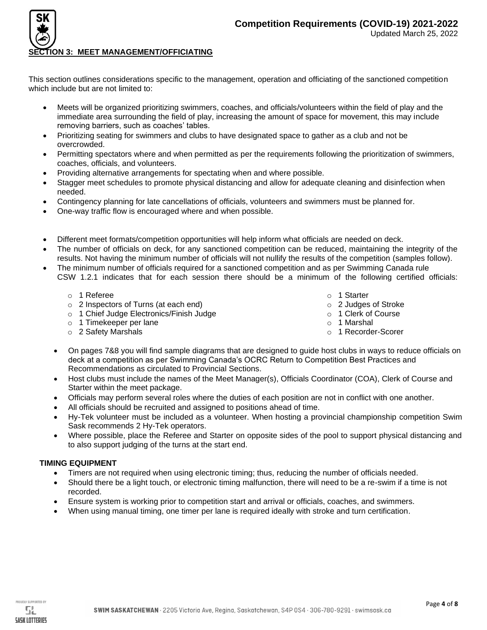

### **ON 3: MEET MANAGEMENT/OFFICIATING**

This section outlines considerations specific to the management, operation and officiating of the sanctioned competition which include but are not limited to:

- Meets will be organized prioritizing swimmers, coaches, and officials/volunteers within the field of play and the immediate area surrounding the field of play, increasing the amount of space for movement, this may include removing barriers, such as coaches' tables.
- Prioritizing seating for swimmers and clubs to have designated space to gather as a club and not be overcrowded.
- Permitting spectators where and when permitted as per the requirements following the prioritization of swimmers, coaches, officials, and volunteers.
- Providing alternative arrangements for spectating when and where possible.
- Stagger meet schedules to promote physical distancing and allow for adequate cleaning and disinfection when needed.
- Contingency planning for late cancellations of officials, volunteers and swimmers must be planned for.
- One-way traffic flow is encouraged where and when possible.
- Different meet formats/competition opportunities will help inform what officials are needed on deck.
- The number of officials on deck, for any sanctioned competition can be reduced, maintaining the integrity of the results. Not having the minimum number of officials will not nullify the results of the competition (samples follow).
- The minimum number of officials required for a sanctioned competition and as per Swimming Canada rule CSW 1.2.1 indicates that for each session there should be a minimum of the following certified officials:
	- o 1 Referee
	- o 2 Inspectors of Turns (at each end)
	- o 1 Chief Judge Electronics/Finish Judge
	- o 1 Timekeeper per lane
	- o 2 Safety Marshals
- o 1 Starter
- o 2 Judges of Stroke
- o 1 Clerk of Course
- o 1 Marshal
- o 1 Recorder-Scorer
- On pages 7&8 you will find sample diagrams that are designed to guide host clubs in ways to reduce officials on deck at a competition as per Swimming Canada's OCRC Return to Competition Best Practices and Recommendations as circulated to Provincial Sections.
- Host clubs must include the names of the Meet Manager(s), Officials Coordinator (COA), Clerk of Course and Starter within the meet package.
- Officials may perform several roles where the duties of each position are not in conflict with one another.
- All officials should be recruited and assigned to positions ahead of time.
- Hy-Tek volunteer must be included as a volunteer. When hosting a provincial championship competition Swim Sask recommends 2 Hy-Tek operators.
- Where possible, place the Referee and Starter on opposite sides of the pool to support physical distancing and to also support judging of the turns at the start end.

#### **TIMING EQUIPMENT**

- Timers are not required when using electronic timing; thus, reducing the number of officials needed.
- Should there be a light touch, or electronic timing malfunction, there will need to be a re-swim if a time is not recorded.
- Ensure system is working prior to competition start and arrival or officials, coaches, and swimmers.
- When using manual timing, one timer per lane is required ideally with stroke and turn certification.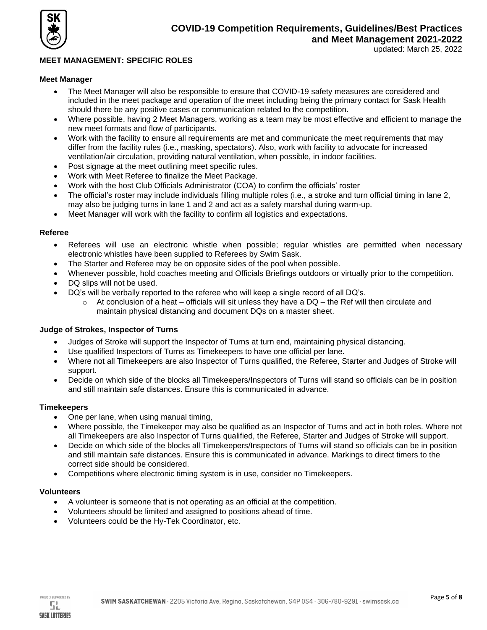

### **MEET MANAGEMENT: SPECIFIC ROLES**

#### **Meet Manager**

- The Meet Manager will also be responsible to ensure that COVID-19 safety measures are considered and included in the meet package and operation of the meet including being the primary contact for Sask Health should there be any positive cases or communication related to the competition.
- Where possible, having 2 Meet Managers, working as a team may be most effective and efficient to manage the new meet formats and flow of participants.
- Work with the facility to ensure all requirements are met and communicate the meet requirements that may differ from the facility rules (i.e., masking, spectators). Also, work with facility to advocate for increased ventilation/air circulation, providing natural ventilation, when possible, in indoor facilities.
- Post signage at the meet outlining meet specific rules.
- Work with Meet Referee to finalize the Meet Package.
- Work with the host Club Officials Administrator (COA) to confirm the officials' roster
- The official's roster may include individuals filling multiple roles (i.e., a stroke and turn official timing in lane 2, may also be judging turns in lane 1 and 2 and act as a safety marshal during warm-up.
- Meet Manager will work with the facility to confirm all logistics and expectations.

#### **Referee**

- Referees will use an electronic whistle when possible; regular whistles are permitted when necessary electronic whistles have been supplied to Referees by Swim Sask.
- The Starter and Referee may be on opposite sides of the pool when possible.
- Whenever possible, hold coaches meeting and Officials Briefings outdoors or virtually prior to the competition.
- DQ slips will not be used.
- DQ's will be verbally reported to the referee who will keep a single record of all DQ's.
	- $\circ$  At conclusion of a heat officials will sit unless they have a DQ the Ref will then circulate and maintain physical distancing and document DQs on a master sheet.

#### **Judge of Strokes, Inspector of Turns**

- Judges of Stroke will support the Inspector of Turns at turn end, maintaining physical distancing.
- Use qualified Inspectors of Turns as Timekeepers to have one official per lane.
- Where not all Timekeepers are also Inspector of Turns qualified, the Referee, Starter and Judges of Stroke will support.
- Decide on which side of the blocks all Timekeepers/Inspectors of Turns will stand so officials can be in position and still maintain safe distances. Ensure this is communicated in advance.

#### **Timekeepers**

- One per lane, when using manual timing,
- Where possible, the Timekeeper may also be qualified as an Inspector of Turns and act in both roles. Where not all Timekeepers are also Inspector of Turns qualified, the Referee, Starter and Judges of Stroke will support.
- Decide on which side of the blocks all Timekeepers/Inspectors of Turns will stand so officials can be in position and still maintain safe distances. Ensure this is communicated in advance. Markings to direct timers to the correct side should be considered.
- Competitions where electronic timing system is in use, consider no Timekeepers.

#### **Volunteers**

- A volunteer is someone that is not operating as an official at the competition.
- Volunteers should be limited and assigned to positions ahead of time.
- Volunteers could be the Hy-Tek Coordinator, etc.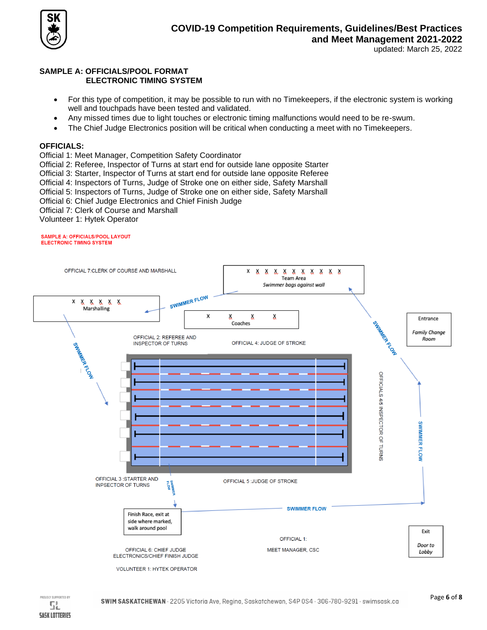

### **SAMPLE A: OFFICIALS/POOL FORMAT ELECTRONIC TIMING SYSTEM**

- For this type of competition, it may be possible to run with no Timekeepers, if the electronic system is working well and touchpads have been tested and validated.
- Any missed times due to light touches or electronic timing malfunctions would need to be re-swum.
- The Chief Judge Electronics position will be critical when conducting a meet with no Timekeepers.

### **OFFICIALS:**

- Official 1: Meet Manager, Competition Safety Coordinator
- Official 2: Referee, Inspector of Turns at start end for outside lane opposite Starter
- Official 3: Starter, Inspector of Turns at start end for outside lane opposite Referee
- Official 4: Inspectors of Turns, Judge of Stroke one on either side, Safety Marshall
- Official 5: Inspectors of Turns, Judge of Stroke one on either side, Safety Marshall
- Official 6: Chief Judge Electronics and Chief Finish Judge
- Official 7: Clerk of Course and Marshall
- Volunteer 1: Hytek Operator

#### SAMPLE A: OFFICIALS/POOL LAYOUT **ELECTRONIC TIMING SYSTEM**

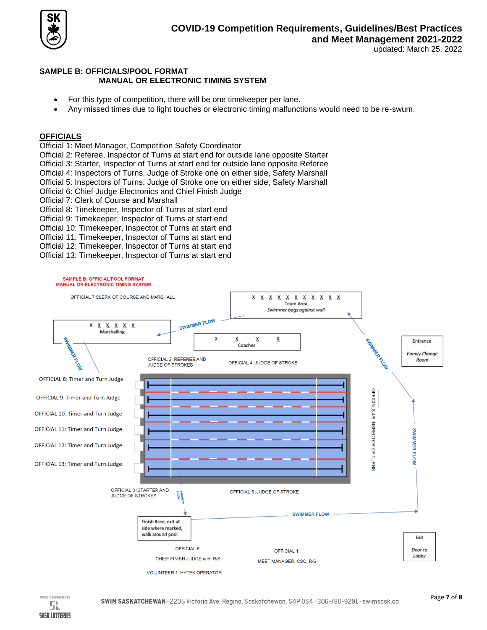

### **SAMPLE B: OFFICIALS/POOL FORMAT MANUAL OR ELECTRONIC TIMING SYSTEM**

- For this type of competition, there will be one timekeeper per lane.
- Any missed times due to light touches or electronic timing malfunctions would need to be re-swum.

### **OFFICIALS**

Official 1: Meet Manager, Competition Safety Coordinator

Official 2: Referee, Inspector of Turns at start end for outside lane opposite Starter

Official 3: Starter, Inspector of Turns at start end for outside lane opposite Referee

Official 4: Inspectors of Turns, Judge of Stroke one on either side, Safety Marshall

Official 5: Inspectors of Turns, Judge of Stroke one on either side, Safety Marshall

- Official 6: Chief Judge Electronics and Chief Finish Judge
- Official 7: Clerk of Course and Marshall

Official 8: Timekeeper, Inspector of Turns at start end

Official 9: Timekeeper, Inspector of Turns at start end

Official 10: Timekeeper, Inspector of Turns at start end

- Official 11: Timekeeper, Inspector of Turns at start end
- Official 12: Timekeeper, Inspector of Turns at start end

Official 13: Timekeeper, Inspector of Turns at start end